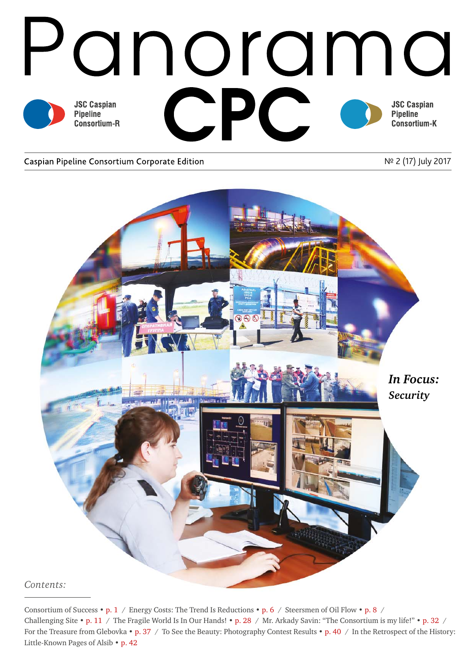

#### Caspian Pipeline Consortium Corporate Edition

Nº 2 (17) July 2017



Consortium of Success • p. 1 / Energy Costs: The Trend Is Reductions • p. 6 / Steersmen of Oil Flow • p. 8 / Challenging Site • p. 11 / The Fragile World Is In Our Hands! • p. 28 / Mr. Arkady Savin: "The Consortium is my life!" • p. 32 / For the Treasure from Glebovka • p. 37 / To See the Beauty: Photography Contest Results • p. 40 / In the Retrospect of the History: Little-Known Pages of Alsib • p. 42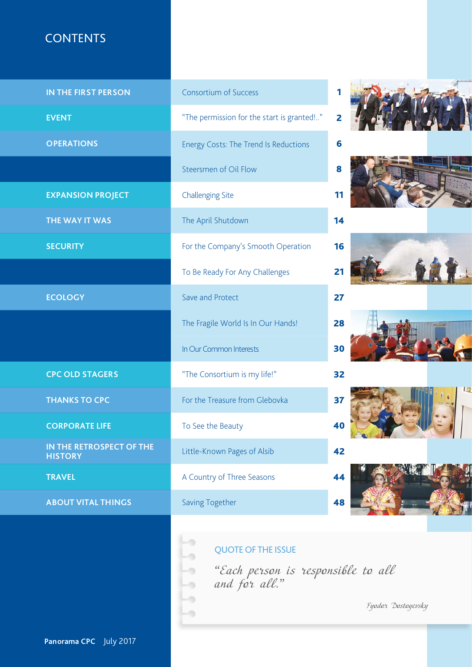## **CONTENTS**

| IN THE FIRST PERSON                        | <b>Consortium of Success</b>                | 1  |           |              |
|--------------------------------------------|---------------------------------------------|----|-----------|--------------|
| <b>EVENT</b>                               | "The permission for the start is granted !" | 2  |           |              |
| <b>OPERATIONS</b>                          | Energy Costs: The Trend Is Reductions       | 6  |           |              |
|                                            | Steersmen of Oil Flow                       | 8  |           |              |
| <b>EXPANSION PROJECT</b>                   | <b>Challenging Site</b>                     | 11 |           |              |
| THE WAY IT WAS                             | The April Shutdown                          | 14 |           |              |
| <b>SECURITY</b>                            | For the Company's Smooth Operation          | 16 |           |              |
|                                            | To Be Ready For Any Challenges              | 21 |           |              |
| <b>ECOLOGY</b>                             | Save and Protect                            | 27 |           |              |
|                                            | The Fragile World Is In Our Hands!          | 28 |           |              |
|                                            | In Our Common Interests                     | 30 |           |              |
| <b>CPC OLD STAGERS</b>                     | "The Consortium is my life!"                | 32 |           |              |
| <b>THANKS TO CPC</b>                       | For the Treasure from Glebovka              | 37 |           | $\mathbf{u}$ |
| <b>CORPORATE LIFE</b>                      | To See the Beauty                           | 40 | $C_2 + I$ |              |
| IN THE RETROSPECT OF THE<br><b>HISTORY</b> | Little-Known Pages of Alsib                 | 42 |           |              |
| <b>TRAVEL</b>                              | A Country of Three Seasons                  | 44 |           |              |
| <b>ABOUT VITAL THINGS</b>                  | <b>Saving Together</b>                      | 48 |           |              |
|                                            |                                             |    |           |              |

QUOTE OF THE ISSUE

*"*Each person is responsible to all and for all.*"*

 $\overline{\phantom{a}}$  $\overline{\phantom{a}}$ 

 $\overline{\phantom{a}}$ 

Fyodor Dostoyevsky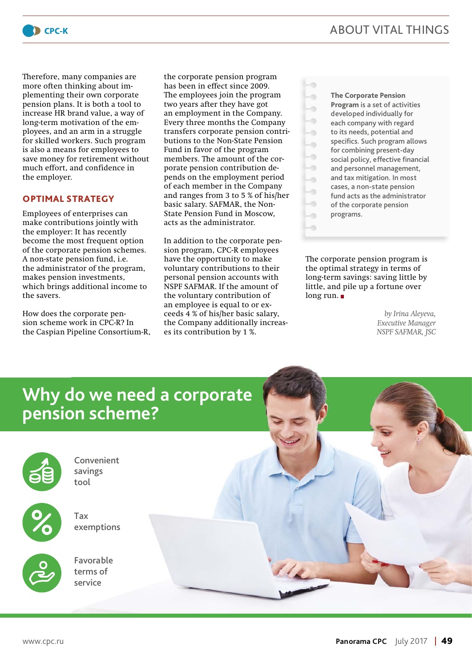

Therefore, many companies are more often thinking about implementing their own corporate pension plans. It is both a tool to increase HR brand value, a way of long-term motivation of the employees, and an arm in a struggle for skilled workers. Such program is also a means for employees to save money for retirement without much effort, and confidence in the employer.

#### **OPTIMAL STRATEGY**

Employees of enterprises can make contributions jointly with the employer: It has recently become the most frequent option of the corporate pension schemes. A non-state pension fund, i.e. the administrator of the program, makes pension investments, which brings additional income to the savers.

How does the corporate pension scheme work in CPC-R? In the Caspian Pipeline Consortium-R, the corporate pension program has been in effect since 2009. The employees join the program two years after they have got an employment in the Company. Every three months the Company transfers corporate pension contributions to the Non-State Pension Fund in favor of the program members. The amount of the corporate pension contribution depends on the employment period of each member in the Company and ranges from 3 to 5 % of his/her basic salary. SAFMAR, the Non-State Pension Fund in Moscow, acts as the administrator.

In addition to the corporate pension program, CPC-R employees have the opportunity to make voluntary contributions to their personal pension accounts with NSPF SAFMAR. If the amount of the voluntary contribution of an employee is equal to or exceeds 4 % of his/her basic salary, the Company additionally increases its contribution by 1 %.

**The Corporate Pension Program** is a set of activities developed individually for each company with regard to its needs, potential and specifics. Such program allows for combining present-day social policy, effective financial and personnel management, and tax mitigation. In most cases, a non-state pension fund acts as the administrator of the corporate pension programs.

 $\overline{\phantom{0}}$  $\overline{\phantom{0}}$  $\overline{\phantom{a}}$  $\blacksquare$  $\overline{\phantom{a}}$  $\overline{\phantom{a}}$  $\bullet$  $\overline{\phantom{a}}$  $\overline{\phantom{0}}$  $\bullet$  $\overline{\phantom{a}}$  $\overline{\phantom{a}}$ 

The corporate pension program is the optimal strategy in terms of long-term savings: saving little by little, and pile up a fortune over long run. ■

> *by Irina Aleyeva, Executive Manager NSPF SAFMAR, JSC*

# **Why do we need a corporate pension scheme?**



Convenient savings tool



Tax exemptions

Favorable terms of service